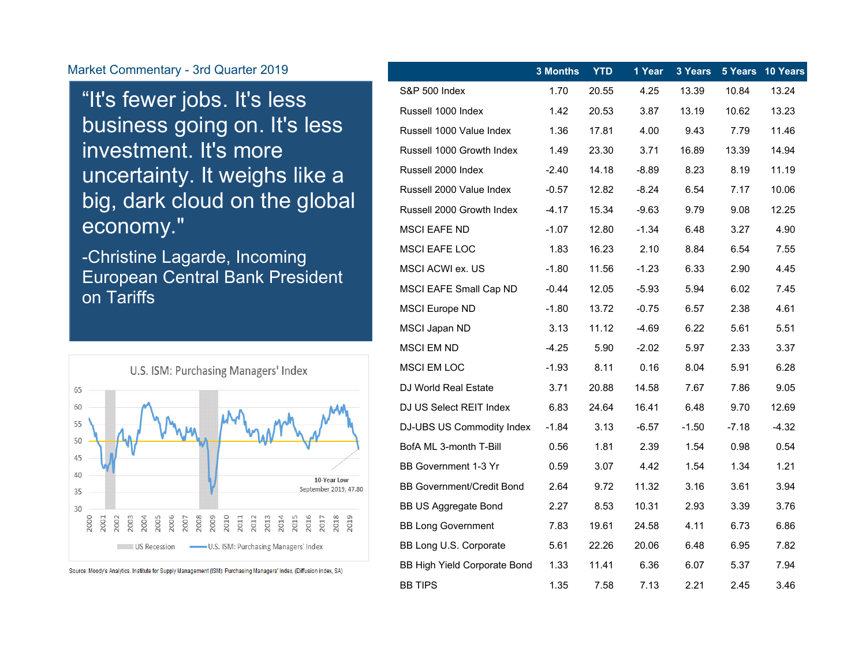"It's fewer jobs. It's less business going on. It's less investment. It's more uncertainty. It weighs like a big, dark cloud on the global economy."

-Christine Lagarde, Incoming European Central Bank President on Tariffs



Source: Moody's Analytics. Institute for Supply Management (ISM): Purchasing Managers' Index, (Diffusion index, SA)

|                                     | 3 Months | <b>YTD</b> | 1 Year  | 3 Years |         | 5 Years 10 Years |
|-------------------------------------|----------|------------|---------|---------|---------|------------------|
| S&P 500 Index                       | 1.70     | 20.55      | 4.25    | 13.39   | 10.84   | 13.24            |
| Russell 1000 Index                  | 1.42     | 20.53      | 3.87    | 13.19   | 10.62   | 13.23            |
| Russell 1000 Value Index            | 1.36     | 17.81      | 4.00    | 9.43    | 7.79    | 11.46            |
| Russell 1000 Growth Index           | 1.49     | 23.30      | 3.71    | 16.89   | 13.39   | 14.94            |
| Russell 2000 Index                  | $-2.40$  | 14.18      | $-8.89$ | 8.23    | 8.19    | 11.19            |
| Russell 2000 Value Index            | $-0.57$  | 12.82      | $-8.24$ | 6.54    | 7.17    | 10.06            |
| Russell 2000 Growth Index           | $-4.17$  | 15.34      | $-9.63$ | 9.79    | 9.08    | 12.25            |
| MSCI EAFE ND                        | -1.07    | 12.80      | -1.34   | 6.48    | 3.27    | 4.90             |
| MSCI EAFE LOC                       | 1.83     | 16.23      | 2.10    | 8.84    | 6.54    | 7.55             |
| MSCI ACWI ex. US                    | $-1.80$  | 11.56      | $-1.23$ | 6.33    | 2.90    | 4.45             |
| <b>MSCI EAFE Small Cap ND</b>       | $-0.44$  | 12.05      | $-5.93$ | 5.94    | 6.02    | 7.45             |
| <b>MSCI Europe ND</b>               | $-1.80$  | 13.72      | $-0.75$ | 6.57    | 2.38    | 4.61             |
| MSCI Japan ND                       | 3.13     | 11.12      | -4.69   | 6.22    | 5.61    | 5.51             |
| <b>MSCI EM ND</b>                   | $-4.25$  | 5.90       | $-2.02$ | 5.97    | 2.33    | 3.37             |
| <b>MSCI EM LOC</b>                  | $-1.93$  | 8.11       | 0.16    | 8.04    | 5.91    | 6.28             |
| DJ World Real Estate                | 3.71     | 20.88      | 14.58   | 7.67    | 7.86    | 9.05             |
| DJ US Select REIT Index             | 6.83     | 24.64      | 16.41   | 6.48    | 9.70    | 12.69            |
| DJ-UBS US Commodity Index           | $-1.84$  | 3.13       | $-6.57$ | $-1.50$ | $-7.18$ | $-4.32$          |
| BofA ML 3-month T-Bill              | 0.56     | 1.81       | 2.39    | 1.54    | 0.98    | 0.54             |
| BB Government 1-3 Yr                | 0.59     | 3.07       | 4.42    | 1.54    | 1.34    | 1.21             |
| <b>BB Government/Credit Bond</b>    | 2.64     | 9.72       | 11.32   | 3.16    | 3.61    | 3.94             |
| <b>BB US Aggregate Bond</b>         | 2.27     | 8.53       | 10.31   | 2.93    | 3.39    | 3.76             |
| <b>BB Long Government</b>           | 7.83     | 19.61      | 24.58   | 4.11    | 6.73    | 6.86             |
| BB Long U.S. Corporate              | 5.61     | 22.26      | 20.06   | 6.48    | 6.95    | 7.82             |
| <b>BB High Yield Corporate Bond</b> | 1.33     | 11.41      | 6.36    | 6.07    | 5.37    | 7.94             |
| <b>BB TIPS</b>                      | 1.35     | 7.58       | 7.13    | 2.21    | 2.45    | 3.46             |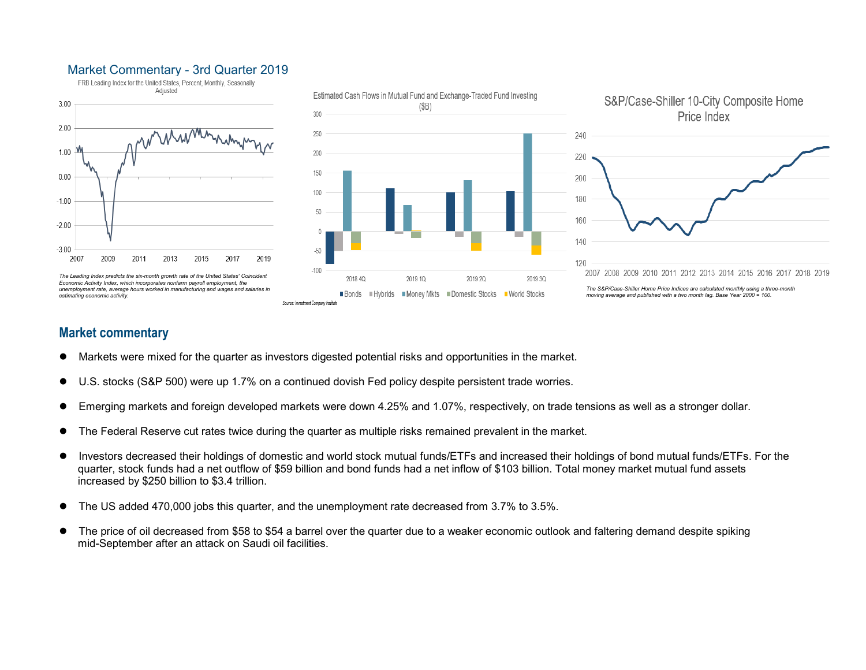

## **Market commentary**

- $\bullet$ Markets were mixed for the quarter as investors digested potential risks and opportunities in the market.
- $\bullet$ U.S. stocks (S&P 500) were up 1.7% on a continued dovish Fed policy despite persistent trade worries.
- 0 Emerging markets and foreign developed markets were down 4.25% and 1.07%, respectively, on trade tensions as well as a stronger dollar.
- 0 The Federal Reserve cut rates twice during the quarter as multiple risks remained prevalent in the market.
- 0 Investors decreased their holdings of domestic and world stock mutual funds/ETFs and increased their holdings of bond mutual funds/ETFs. For the quarter, stock funds had a net outflow of \$59 billion and bond funds had a net inflow of \$103 billion. Total money market mutual fund assets increased by \$250 billion to \$3.4 trillion.
- 0 The US added 470,000 jobs this quarter, and the unemployment rate decreased from 3.7% to 3.5%.
- $\bullet$  The price of oil decreased from \$58 to \$54 a barrel over the quarter due to a weaker economic outlook and faltering demand despite spiking mid-September after an attack on Saudi oil facilities.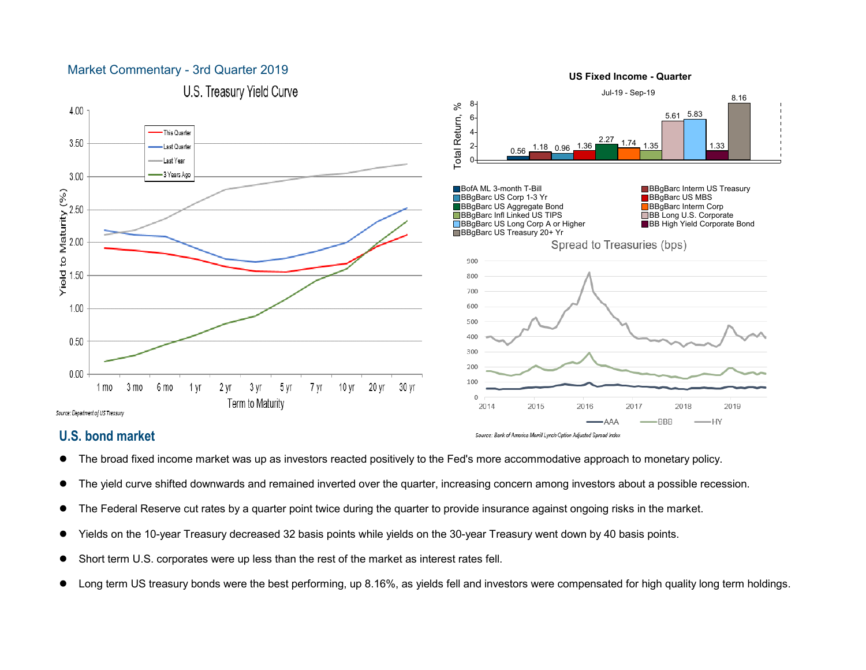

**US Fixed Income - Quarter**

# **U.S. bond market**

 $\bullet$ 

- The broad fixed income market was up as investors reacted positively to the Fed's more accommodative approach to monetary policy.
- $\bullet$ The yield curve shifted downwards and remained inverted over the quarter, increasing concern among investors about a possible recession.

Source: Bank of America Merrill Lynch Option Adjusted Spread Index

- $\bullet$ The Federal Reserve cut rates by a quarter point twice during the quarter to provide insurance against ongoing risks in the market.
- $\bullet$ Yields on the 10-year Treasury decreased 32 basis points while yields on the 30-year Treasury went down by 40 basis points.
- 0 Short term U.S. corporates were up less than the rest of the market as interest rates fell.
- 0 Long term US treasury bonds were the best performing, up 8.16%, as yields fell and investors were compensated for high quality long term holdings.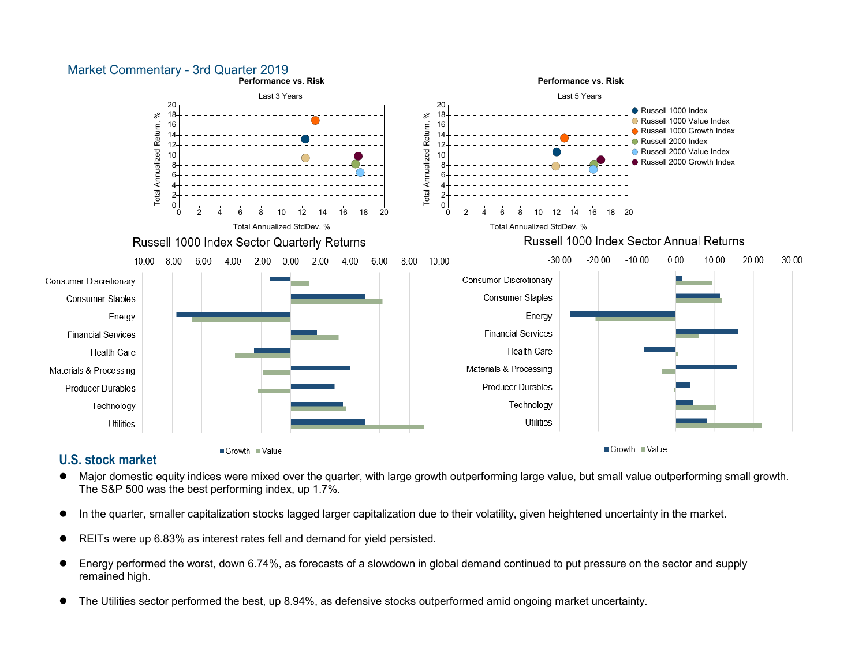

# **U.S. stock market**

- $\bullet$  Major domestic equity indices were mixed over the quarter, with large growth outperforming large value, but small value outperforming small growth. The S&P 500 was the best performing index, up 1.7%.
- 0 In the quarter, smaller capitalization stocks lagged larger capitalization due to their volatility, given heightened uncertainty in the market.
- 0 REITs were up 6.83% as interest rates fell and demand for yield persisted.
- $\bullet$  Energy performed the worst, down 6.74%, as forecasts of a slowdown in global demand continued to put pressure on the sector and supply remained high.
- 0 The Utilities sector performed the best, up 8.94%, as defensive stocks outperformed amid ongoing market uncertainty.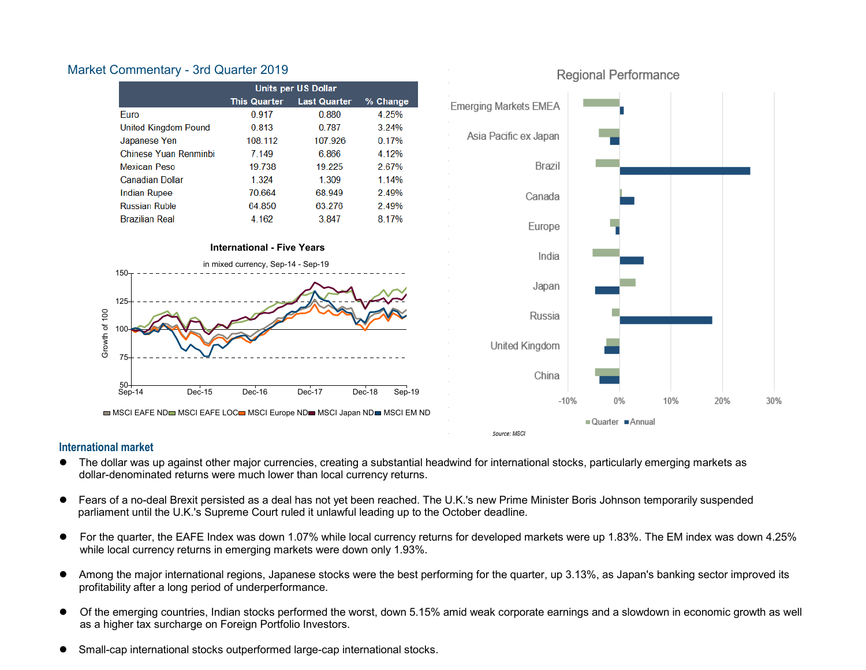

#### **International market**

- $\bullet$  The dollar was up against other major currencies, creating a substantial headwind for international stocks, particularly emerging markets as dollar-denominated returns were much lower than local currency returns.
- $\bullet$  Fears of a no-deal Brexit persisted as a deal has not yet been reached. The U.K.'s new Prime Minister Boris Johnson temporarily suspended parliament until the U.K.'s Supreme Court ruled it unlawful leading up to the October deadline.
- 0 For the quarter, the EAFE Index was down 1.07% while local currency returns for developed markets were up 1.83%. The EM index was down 4.25% while local currency returns in emerging markets were down only 1.93%.
- $\bullet$  Among the major international regions, Japanese stocks were the best performing for the quarter, up 3.13%, as Japan's banking sector improved its profitability after a long period of underperformance.
- $\bullet$  Of the emerging countries, Indian stocks performed the worst, down 5.15% amid weak corporate earnings and a slowdown in economic growth as well as a higher tax surcharge on Foreign Portfolio Investors.
- 0 Small-cap international stocks outperformed large-cap international stocks.